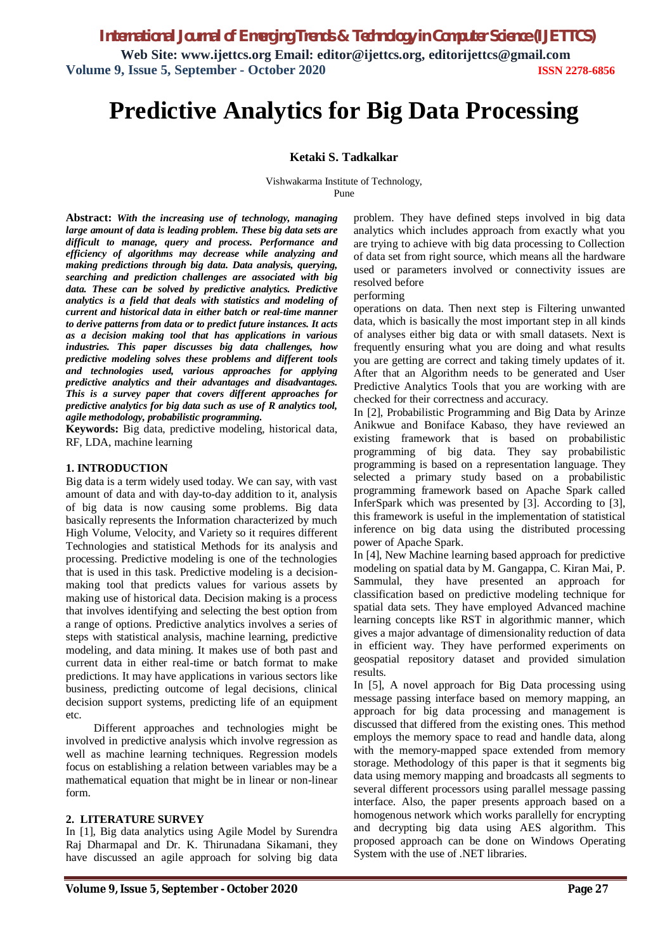*International Journal of Emerging Trends & Technology in Computer Science (IJETTCS)*

**Web Site: www.ijettcs.org Email: editor@ijettcs.org, editorijettcs@gmail.com Volume 9, Issue 5, September - October 2020 ISSN 2278-6856**

# **Predictive Analytics for Big Data Processing**

#### **Ketaki S. Tadkalkar**

Vishwakarma Institute of Technology, Pune

**Abstract:** *With the increasing use of technology, managing large amount of data is leading problem. These big data sets are difficult to manage, query and process. Performance and efficiency of algorithms may decrease while analyzing and making predictions through big data. Data analysis, querying, searching and prediction challenges are associated with big data. These can be solved by predictive analytics. Predictive analytics is a field that deals with statistics and modeling of current and historical data in either batch or real-time manner to derive patterns from data or to predict future instances. It acts as a decision making tool that has applications in various industries. This paper discusses big data challenges, how predictive modeling solves these problems and different tools and technologies used, various approaches for applying predictive analytics and their advantages and disadvantages. This is a survey paper that covers different approaches for predictive analytics for big data such as use of R analytics tool, agile methodology, probabilistic programming.*

**Keywords:** Big data, predictive modeling, historical data, RF, LDA, machine learning

#### **1. INTRODUCTION**

Big data is a term widely used today. We can say, with vast amount of data and with day-to-day addition to it, analysis of big data is now causing some problems. Big data basically represents the Information characterized by much High Volume, Velocity, and Variety so it requires different Technologies and statistical Methods for its analysis and processing. Predictive modeling is one of the technologies that is used in this task. Predictive modeling is a decisionmaking tool that predicts values for various assets by making use of historical data. Decision making is a process that involves identifying and selecting the best option from a range of options. Predictive analytics involves a series of steps with statistical analysis, machine learning, predictive modeling, and data mining. It makes use of both past and current data in either real-time or batch format to make predictions. It may have applications in various sectors like business, predicting outcome of legal decisions, clinical decision support systems, predicting life of an equipment etc.

 Different approaches and technologies might be involved in predictive analysis which involve regression as well as machine learning techniques. Regression models focus on establishing a relation between variables may be a mathematical equation that might be in linear or non-linear form.

#### **2. LITERATURE SURVEY**

In [1], Big data analytics using Agile Model by Surendra Raj Dharmapal and Dr. K. Thirunadana Sikamani, they have discussed an agile approach for solving big data problem. They have defined steps involved in big data analytics which includes approach from exactly what you are trying to achieve with big data processing to Collection of data set from right source, which means all the hardware used or parameters involved or connectivity issues are resolved before

performing

operations on data. Then next step is Filtering unwanted data, which is basically the most important step in all kinds of analyses either big data or with small datasets. Next is frequently ensuring what you are doing and what results you are getting are correct and taking timely updates of it. After that an Algorithm needs to be generated and User Predictive Analytics Tools that you are working with are checked for their correctness and accuracy.

In [2], Probabilistic Programming and Big Data by Arinze Anikwue and Boniface Kabaso, they have reviewed an existing framework that is based on probabilistic programming of big data. They say probabilistic programming is based on a representation language. They selected a primary study based on a probabilistic programming framework based on Apache Spark called InferSpark which was presented by [3]. According to [3], this framework is useful in the implementation of statistical inference on big data using the distributed processing power of Apache Spark.

In [4], New Machine learning based approach for predictive modeling on spatial data by M. Gangappa, C. Kiran Mai, P. Sammulal, they have presented an approach for classification based on predictive modeling technique for spatial data sets. They have employed Advanced machine learning concepts like RST in algorithmic manner, which gives a major advantage of dimensionality reduction of data in efficient way. They have performed experiments on geospatial repository dataset and provided simulation results.

In [5], A novel approach for Big Data processing using message passing interface based on memory mapping, an approach for big data processing and management is discussed that differed from the existing ones. This method employs the memory space to read and handle data, along with the memory-mapped space extended from memory storage. Methodology of this paper is that it segments big data using memory mapping and broadcasts all segments to several different processors using parallel message passing interface. Also, the paper presents approach based on a homogenous network which works parallelly for encrypting and decrypting big data using AES algorithm. This proposed approach can be done on Windows Operating System with the use of .NET libraries.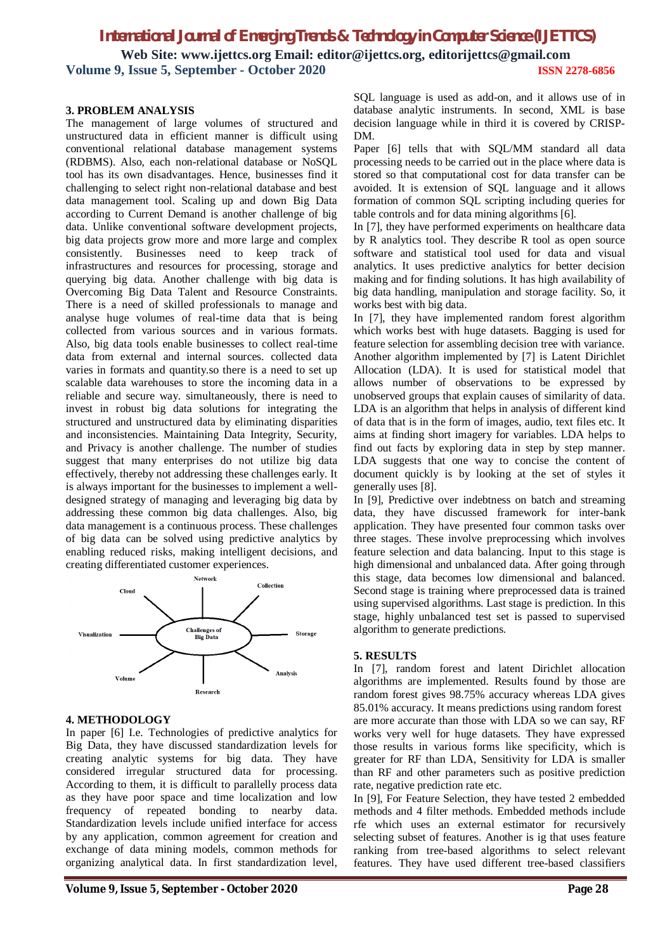# *International Journal of Emerging Trends & Technology in Computer Science (IJETTCS)* **Web Site: www.ijettcs.org Email: editor@ijettcs.org, editorijettcs@gmail.com Volume 9, Issue 5, September - October 2020 ISSN 2278-6856**

#### **3. PROBLEM ANALYSIS**

The management of large volumes of structured and unstructured data in efficient manner is difficult using conventional relational database management systems (RDBMS). Also, each non-relational database or NoSQL tool has its own disadvantages. Hence, businesses find it challenging to select right non-relational database and best data management tool. Scaling up and down Big Data according to Current Demand is another challenge of big data. Unlike conventional software development projects, big data projects grow more and more large and complex consistently. Businesses need to keep track of infrastructures and resources for processing, storage and querying big data. Another challenge with big data is Overcoming Big Data Talent and Resource Constraints. There is a need of skilled professionals to manage and analyse huge volumes of real-time data that is being collected from various sources and in various formats. Also, big data tools enable businesses to collect real-time data from external and internal sources. collected data varies in formats and quantity.so there is a need to set up scalable data warehouses to store the incoming data in a reliable and secure way. simultaneously, there is need to invest in robust big data solutions for integrating the structured and unstructured data by eliminating disparities and inconsistencies. Maintaining Data Integrity, Security, and Privacy is another challenge. The number of studies suggest that many enterprises do not utilize big data effectively, thereby not addressing these challenges early. It is always important for the businesses to implement a welldesigned strategy of managing and leveraging big data by addressing these common big data challenges. Also, big data management is a continuous process. These challenges of big data can be solved using predictive analytics by enabling reduced risks, making intelligent decisions, and creating differentiated customer experiences.



#### **4. METHODOLOGY**

In paper [6] I.e. Technologies of predictive analytics for Big Data, they have discussed standardization levels for creating analytic systems for big data. They have considered irregular structured data for processing. According to them, it is difficult to parallelly process data as they have poor space and time localization and low frequency of repeated bonding to nearby data. Standardization levels include unified interface for access by any application, common agreement for creation and exchange of data mining models, common methods for organizing analytical data. In first standardization level, SQL language is used as add-on, and it allows use of in database analytic instruments. In second, XML is base decision language while in third it is covered by CRISP-DM.

Paper [6] tells that with SOL/MM standard all data processing needs to be carried out in the place where data is stored so that computational cost for data transfer can be avoided. It is extension of SQL language and it allows formation of common SQL scripting including queries for table controls and for data mining algorithms [6].

In [7], they have performed experiments on healthcare data by R analytics tool. They describe R tool as open source software and statistical tool used for data and visual analytics. It uses predictive analytics for better decision making and for finding solutions. It has high availability of big data handling, manipulation and storage facility. So, it works best with big data.

In [7], they have implemented random forest algorithm which works best with huge datasets. Bagging is used for feature selection for assembling decision tree with variance. Another algorithm implemented by [7] is Latent Dirichlet Allocation (LDA). It is used for statistical model that allows number of observations to be expressed by unobserved groups that explain causes of similarity of data. LDA is an algorithm that helps in analysis of different kind of data that is in the form of images, audio, text files etc. It aims at finding short imagery for variables. LDA helps to find out facts by exploring data in step by step manner. LDA suggests that one way to concise the content of document quickly is by looking at the set of styles it generally uses [8].

In [9], Predictive over indebtness on batch and streaming data, they have discussed framework for inter-bank application. They have presented four common tasks over three stages. These involve preprocessing which involves feature selection and data balancing. Input to this stage is high dimensional and unbalanced data. After going through this stage, data becomes low dimensional and balanced. Second stage is training where preprocessed data is trained using supervised algorithms. Last stage is prediction. In this stage, highly unbalanced test set is passed to supervised algorithm to generate predictions.

#### **5. RESULTS**

In [7], random forest and latent Dirichlet allocation algorithms are implemented. Results found by those are random forest gives 98.75% accuracy whereas LDA gives 85.01% accuracy. It means predictions using random forest are more accurate than those with LDA so we can say, RF works very well for huge datasets. They have expressed those results in various forms like specificity, which is greater for RF than LDA, Sensitivity for LDA is smaller than RF and other parameters such as positive prediction rate, negative prediction rate etc.

In [9], For Feature Selection, they have tested 2 embedded methods and 4 filter methods. Embedded methods include rfe which uses an external estimator for recursively selecting subset of features. Another is ig that uses feature ranking from tree-based algorithms to select relevant features. They have used different tree-based classifiers